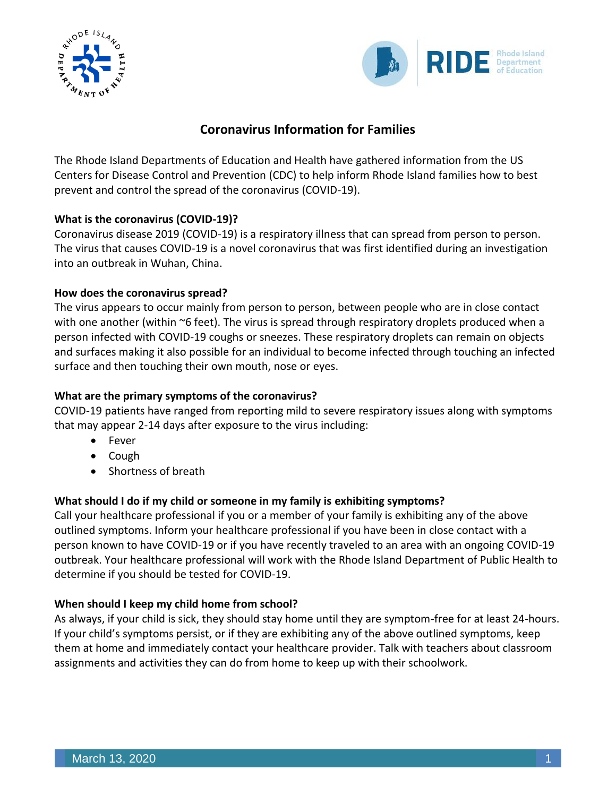



# **Coronavirus Information for Families**

The Rhode Island Departments of Education and Health have gathered information from the US Centers for Disease Control and Prevention (CDC) to help inform Rhode Island families how to best prevent and control the spread of the coronavirus (COVID-19).

## **What is the coronavirus (COVID-19)?**

Coronavirus disease 2019 (COVID-19) is a respiratory illness that can spread from person to person. The virus that causes COVID-19 is a novel coronavirus that was first identified during an investigation into an outbreak in Wuhan, China.

## **How does the coronavirus spread?**

The virus appears to occur mainly from person to person, between people who are in close contact with one another (within ~6 feet). The virus is spread through respiratory droplets produced when a person infected with COVID-19 coughs or sneezes. These respiratory droplets can remain on objects and surfaces making it also possible for an individual to become infected through touching an infected surface and then touching their own mouth, nose or eyes.

## **What are the primary symptoms of the coronavirus?**

COVID-19 patients have ranged from reporting mild to severe respiratory issues along with symptoms that may appear 2-14 days after exposure to the virus including:

- Fever
- Cough
- Shortness of breath

## **What should I do if my child or someone in my family is exhibiting symptoms?**

Call your healthcare professional if you or a member of your family is exhibiting any of the above outlined symptoms. Inform your healthcare professional if you have been in close contact with a person known to have COVID-19 or if you have recently traveled to an area with an ongoing COVID-19 outbreak. Your healthcare professional will work with the Rhode Island Department of Public Health to determine if you should be tested for COVID-19.

## **When should I keep my child home from school?**

As always, if your child is sick, they should stay home until they are symptom-free for at least 24-hours. If your child's symptoms persist, or if they are exhibiting any of the above outlined symptoms, keep them at home and immediately contact your healthcare provider. Talk with teachers about classroom assignments and activities they can do from home to keep up with their schoolwork.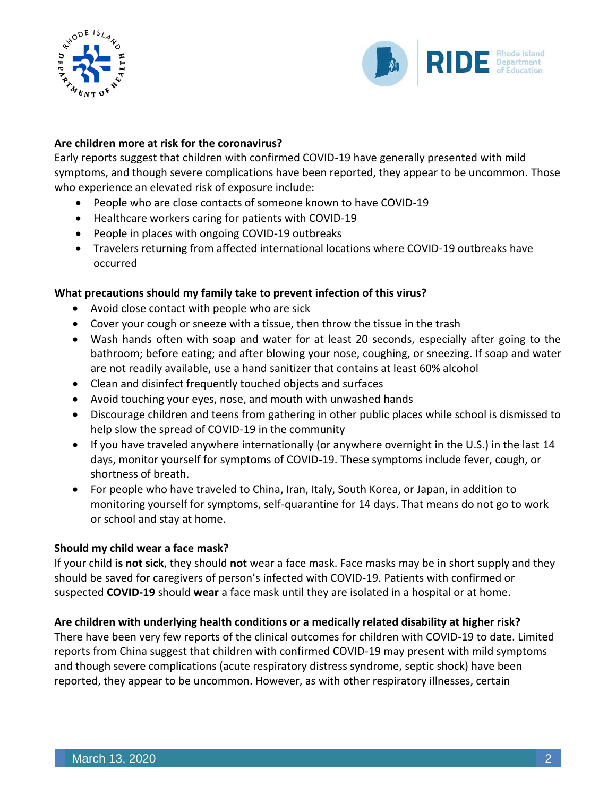



### **Are children more at risk for the coronavirus?**

Early reports suggest that children with confirmed COVID-19 have generally presented with mild symptoms, and though severe complications have been reported, they appear to be uncommon. Those who experience an elevated risk of exposure include:

- People who are close contacts of someone known to have COVID-19
- Healthcare workers caring for patients with COVID-19
- People in places with ongoing COVID-19 outbreaks
- Travelers returning from affected international locations where COVID-19 outbreaks have occurred

### **What precautions should my family take to prevent infection of this virus?**

- Avoid close contact with people who are sick
- Cover your cough or sneeze with a tissue, then throw the tissue in the trash
- Wash hands often with soap and water for at least 20 seconds, especially after going to the bathroom; before eating; and after blowing your nose, coughing, or sneezing. If soap and water are not readily available, use a hand sanitizer that contains at least 60% alcohol
- Clean and disinfect frequently touched objects and surfaces
- Avoid touching your eyes, nose, and mouth with unwashed hands
- Discourage children and teens from gathering in other public places while school is dismissed to help slow the spread of COVID-19 in the community
- If you have traveled anywhere internationally (or anywhere overnight in the U.S.) in the last 14 days, monitor yourself for symptoms of COVID-19. These symptoms include fever, cough, or shortness of breath.
- For people who have traveled to China, Iran, Italy, South Korea, or Japan, in addition to monitoring yourself for symptoms, self-quarantine for 14 days. That means do not go to work or school and stay at home.

#### **Should my child wear a face mask?**

If your child **is not sick**, they should **not** wear a face mask. Face masks may be in short supply and they should be saved for caregivers of person's infected with COVID-19. Patients with confirmed or suspected **COVID-19** should **wear** a face mask until they are isolated in a hospital or at home.

#### **Are children with underlying health conditions or a medically related disability at higher risk?**

There have been very few reports of the clinical outcomes for children with COVID-19 to date. Limited reports from China suggest that children with confirmed COVID-19 may present with mild symptoms and though severe complications (acute respiratory distress syndrome, septic shock) have been reported, they appear to be uncommon. However, as with other respiratory illnesses, certain